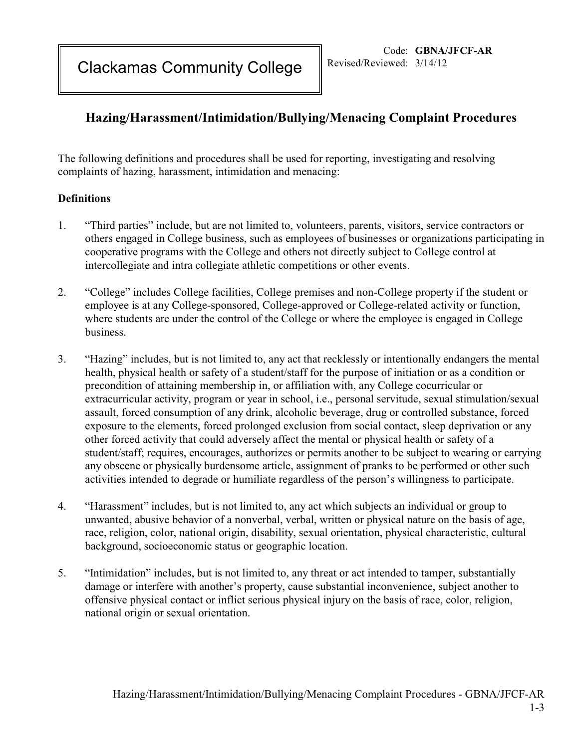Clackamas Community College

## **Hazing/Harassment/Intimidation/Bullying/Menacing Complaint Procedures**

The following definitions and procedures shall be used for reporting, investigating and resolving complaints of hazing, harassment, intimidation and menacing:

## **Definitions**

- 1. "Third parties" include, but are not limited to, volunteers, parents, visitors, service contractors or others engaged in College business, such as employees of businesses or organizations participating in cooperative programs with the College and others not directly subject to College control at intercollegiate and intra collegiate athletic competitions or other events.
- 2. "College" includes College facilities, College premises and non-College property if the student or employee is at any College-sponsored, College-approved or College-related activity or function, where students are under the control of the College or where the employee is engaged in College business.
- 3. "Hazing" includes, but is not limited to, any act that recklessly or intentionally endangers the mental health, physical health or safety of a student/staff for the purpose of initiation or as a condition or precondition of attaining membership in, or affiliation with, any College cocurricular or extracurricular activity, program or year in school, i.e., personal servitude, sexual stimulation/sexual assault, forced consumption of any drink, alcoholic beverage, drug or controlled substance, forced exposure to the elements, forced prolonged exclusion from social contact, sleep deprivation or any other forced activity that could adversely affect the mental or physical health or safety of a student/staff; requires, encourages, authorizes or permits another to be subject to wearing or carrying any obscene or physically burdensome article, assignment of pranks to be performed or other such activities intended to degrade or humiliate regardless of the person's willingness to participate.
- 4. "Harassment" includes, but is not limited to, any act which subjects an individual or group to unwanted, abusive behavior of a nonverbal, verbal, written or physical nature on the basis of age, race, religion, color, national origin, disability, sexual orientation, physical characteristic, cultural background, socioeconomic status or geographic location.
- 5. "Intimidation" includes, but is not limited to, any threat or act intended to tamper, substantially damage or interfere with another's property, cause substantial inconvenience, subject another to offensive physical contact or inflict serious physical injury on the basis of race, color, religion, national origin or sexual orientation.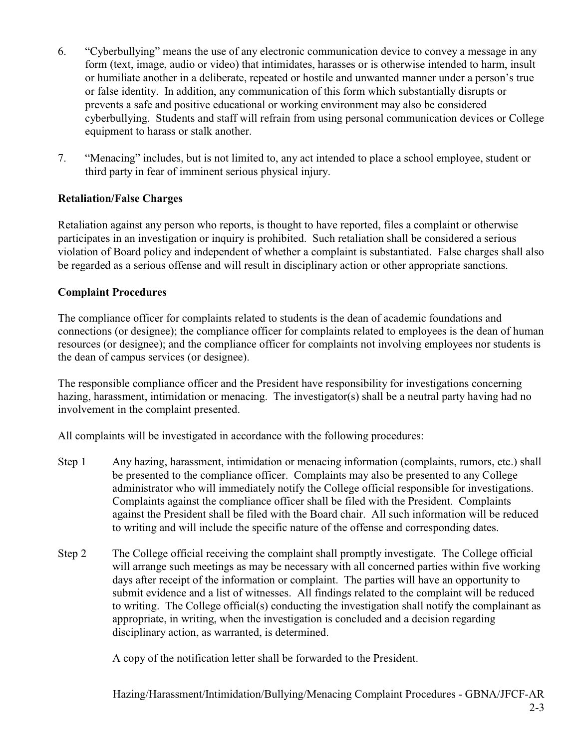- 6. "Cyberbullying" means the use of any electronic communication device to convey a message in any form (text, image, audio or video) that intimidates, harasses or is otherwise intended to harm, insult or humiliate another in a deliberate, repeated or hostile and unwanted manner under a person's true or false identity. In addition, any communication of this form which substantially disrupts or prevents a safe and positive educational or working environment may also be considered cyberbullying. Students and staff will refrain from using personal communication devices or College equipment to harass or stalk another.
- 7. "Menacing" includes, but is not limited to, any act intended to place a school employee, student or third party in fear of imminent serious physical injury.

## **Retaliation/False Charges**

Retaliation against any person who reports, is thought to have reported, files a complaint or otherwise participates in an investigation or inquiry is prohibited. Such retaliation shall be considered a serious violation of Board policy and independent of whether a complaint is substantiated. False charges shall also be regarded as a serious offense and will result in disciplinary action or other appropriate sanctions.

## **Complaint Procedures**

The compliance officer for complaints related to students is the dean of academic foundations and connections (or designee); the compliance officer for complaints related to employees is the dean of human resources (or designee); and the compliance officer for complaints not involving employees nor students is the dean of campus services (or designee).

The responsible compliance officer and the President have responsibility for investigations concerning hazing, harassment, intimidation or menacing. The investigator(s) shall be a neutral party having had no involvement in the complaint presented.

All complaints will be investigated in accordance with the following procedures:

- Step 1 Any hazing, harassment, intimidation or menacing information (complaints, rumors, etc.) shall be presented to the compliance officer. Complaints may also be presented to any College administrator who will immediately notify the College official responsible for investigations. Complaints against the compliance officer shall be filed with the President. Complaints against the President shall be filed with the Board chair. All such information will be reduced to writing and will include the specific nature of the offense and corresponding dates.
- Step 2 The College official receiving the complaint shall promptly investigate. The College official will arrange such meetings as may be necessary with all concerned parties within five working days after receipt of the information or complaint. The parties will have an opportunity to submit evidence and a list of witnesses. All findings related to the complaint will be reduced to writing. The College official(s) conducting the investigation shall notify the complainant as appropriate, in writing, when the investigation is concluded and a decision regarding disciplinary action, as warranted, is determined.

A copy of the notification letter shall be forwarded to the President.

Hazing/Harassment/Intimidation/Bullying/Menacing Complaint Procedures - GBNA/JFCF-AR